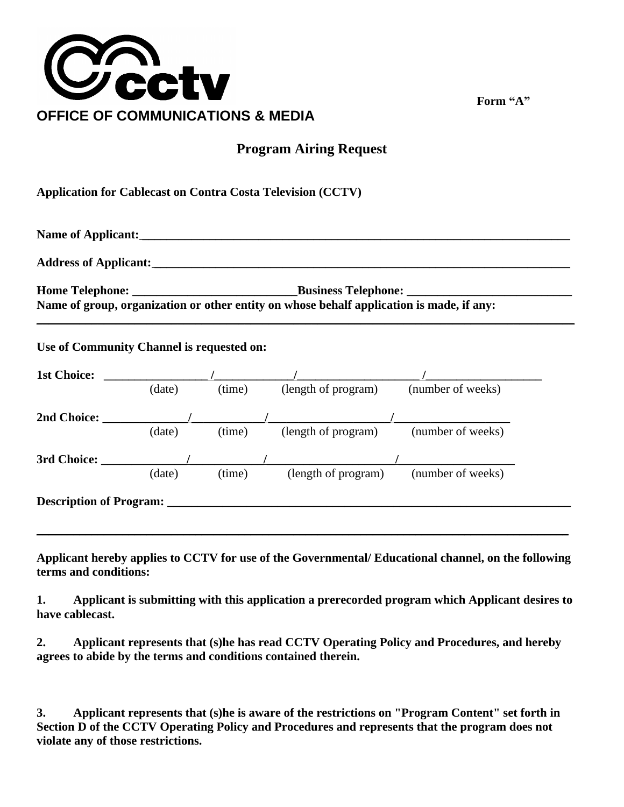

**Form "A"**

## **Program Airing Request**

**Application for Cablecast on Contra Costa Television (CCTV)**

**Name of Applicant: \_\_\_\_\_\_\_\_\_\_\_\_\_\_\_\_\_\_\_\_\_\_\_\_\_\_\_\_\_\_\_\_\_\_\_\_\_\_\_\_\_\_\_\_\_\_\_\_\_\_\_\_\_\_\_\_\_\_\_\_\_\_\_\_\_\_\_\_\_\_ Address of Applicant: \_\_\_\_\_\_\_\_\_\_\_\_\_\_\_\_\_\_\_\_\_\_\_\_\_\_\_\_\_\_\_\_\_\_\_\_\_\_\_\_\_\_\_\_\_\_\_\_\_\_\_\_\_\_\_\_\_\_\_\_\_\_\_\_\_\_\_\_ Home Telephone: \_\_\_\_\_\_\_\_\_\_\_\_\_\_\_\_\_\_\_\_\_\_\_\_\_\_\_Business Telephone: \_\_\_\_\_\_\_\_\_\_\_\_\_\_\_\_\_\_\_\_\_\_\_\_\_\_\_**

**Name of group, organization or other entity on whose behalf application is made, if any: \_\_\_\_\_\_\_\_\_\_\_\_\_\_\_\_\_\_\_\_\_\_\_\_\_\_\_\_\_\_\_\_\_\_\_\_\_\_\_\_\_\_\_\_\_\_\_\_\_\_\_\_\_\_\_\_\_\_\_\_\_\_\_\_\_\_\_\_\_\_\_\_\_\_\_\_\_\_\_\_\_\_\_\_\_\_\_\_**

**Use of Community Channel is requested on:**

| <b>1st Choice:</b>             |        |        |                     |                   |  |
|--------------------------------|--------|--------|---------------------|-------------------|--|
|                                | (date) | (time) | (length of program) | (number of weeks) |  |
| 2nd Choice:                    |        |        |                     |                   |  |
|                                | (date) | (time) | (length of program) | (number of weeks) |  |
| 3rd Choice:                    |        |        |                     |                   |  |
|                                | (date) | (time) | (length of program) | (number of weeks) |  |
| <b>Description of Program:</b> |        |        |                     |                   |  |
|                                |        |        |                     |                   |  |

**Applicant hereby applies to CCTV for use of the Governmental/ Educational channel, on the following terms and conditions:**

**1. Applicant is submitting with this application a prerecorded program which Applicant desires to have cablecast.**

**2. Applicant represents that (s)he has read CCTV Operating Policy and Procedures, and hereby agrees to abide by the terms and conditions contained therein.**

**3. Applicant represents that (s)he is aware of the restrictions on "Program Content" set forth in Section D of the CCTV Operating Policy and Procedures and represents that the program does not violate any of those restrictions.**